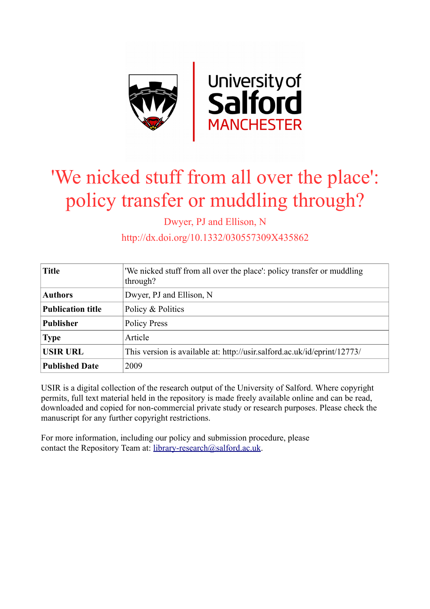

# 'We nicked stuff from all over the place': policy transfer or muddling through?

Dwyer, PJ and Ellison, N

http://dx.doi.org/10.1332/030557309X435862

| <b>Title</b>             | 'We nicked stuff from all over the place': policy transfer or muddling<br>through? |
|--------------------------|------------------------------------------------------------------------------------|
| <b>Authors</b>           | Dwyer, PJ and Ellison, N                                                           |
| <b>Publication title</b> | Policy & Politics                                                                  |
| <b>Publisher</b>         | <b>Policy Press</b>                                                                |
| <b>Type</b>              | Article                                                                            |
| <b>USIR URL</b>          | This version is available at: http://usir.salford.ac.uk/id/eprint/12773/           |
| <b>Published Date</b>    | 2009                                                                               |

USIR is a digital collection of the research output of the University of Salford. Where copyright permits, full text material held in the repository is made freely available online and can be read, downloaded and copied for non-commercial private study or research purposes. Please check the manuscript for any further copyright restrictions.

For more information, including our policy and submission procedure, please contact the Repository Team at: [library-research@salford.ac.uk.](mailto:library-research@salford.ac.uk)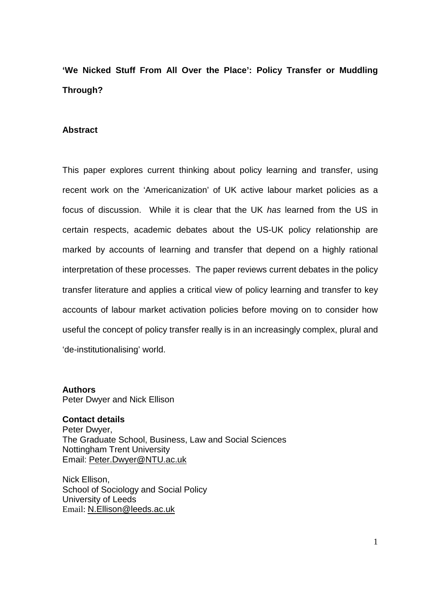# **'We Nicked Stuff From All Over the Place': Policy Transfer or Muddling Through?**

#### **Abstract**

This paper explores current thinking about policy learning and transfer, using recent work on the 'Americanization' of UK active labour market policies as a focus of discussion. While it is clear that the UK *has* learned from the US in certain respects, academic debates about the US-UK policy relationship are marked by accounts of learning and transfer that depend on a highly rational interpretation of these processes. The paper reviews current debates in the policy transfer literature and applies a critical view of policy learning and transfer to key accounts of labour market activation policies before moving on to consider how useful the concept of policy transfer really is in an increasingly complex, plural and 'de-institutionalising' world.

**Authors** Peter Dwyer and Nick Ellison

**Contact details**  Peter Dwyer, The Graduate School, Business, Law and Social Sciences Nottingham Trent University Email: [Peter.Dwyer@NTU.ac.uk](mailto:Peter.Dwyer@NTU.ac.uk)

Nick Ellison, School of Sociology and Social Policy University of Leeds Email: [N.Ellison@leeds.ac.uk](mailto:n.Ellison@leeds.ac.uk)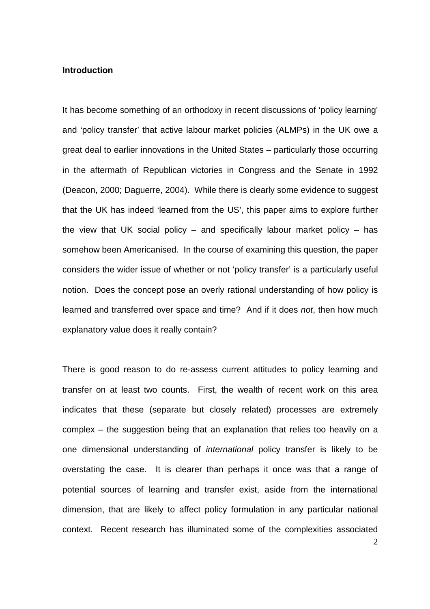## **Introduction**

It has become something of an orthodoxy in recent discussions of 'policy learning' and 'policy transfer' that active labour market policies (ALMPs) in the UK owe a great deal to earlier innovations in the United States – particularly those occurring in the aftermath of Republican victories in Congress and the Senate in 1992 (Deacon, 2000; Daguerre, 2004). While there is clearly some evidence to suggest that the UK has indeed 'learned from the US', this paper aims to explore further the view that UK social policy – and specifically labour market policy – has somehow been Americanised. In the course of examining this question, the paper considers the wider issue of whether or not 'policy transfer' is a particularly useful notion. Does the concept pose an overly rational understanding of how policy is learned and transferred over space and time? And if it does *not*, then how much explanatory value does it really contain?

There is good reason to do re-assess current attitudes to policy learning and transfer on at least two counts. First, the wealth of recent work on this area indicates that these (separate but closely related) processes are extremely complex – the suggestion being that an explanation that relies too heavily on a one dimensional understanding of *international* policy transfer is likely to be overstating the case. It is clearer than perhaps it once was that a range of potential sources of learning and transfer exist, aside from the international dimension, that are likely to affect policy formulation in any particular national context. Recent research has illuminated some of the complexities associated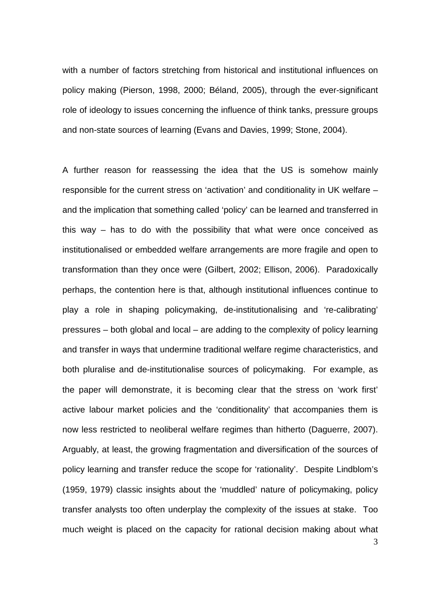with a number of factors stretching from historical and institutional influences on policy making (Pierson, 1998, 2000; Béland, 2005), through the ever-significant role of ideology to issues concerning the influence of think tanks, pressure groups and non-state sources of learning (Evans and Davies, 1999; Stone, 2004).

3 A further reason for reassessing the idea that the US is somehow mainly responsible for the current stress on 'activation' and conditionality in UK welfare – and the implication that something called 'policy' can be learned and transferred in this way – has to do with the possibility that what were once conceived as institutionalised or embedded welfare arrangements are more fragile and open to transformation than they once were (Gilbert, 2002; Ellison, 2006). Paradoxically perhaps, the contention here is that, although institutional influences continue to play a role in shaping policymaking, de-institutionalising and 're-calibrating' pressures – both global and local – are adding to the complexity of policy learning and transfer in ways that undermine traditional welfare regime characteristics, and both pluralise and de-institutionalise sources of policymaking. For example, as the paper will demonstrate, it is becoming clear that the stress on 'work first' active labour market policies and the 'conditionality' that accompanies them is now less restricted to neoliberal welfare regimes than hitherto (Daguerre, 2007). Arguably, at least, the growing fragmentation and diversification of the sources of policy learning and transfer reduce the scope for 'rationality'. Despite Lindblom's (1959, 1979) classic insights about the 'muddled' nature of policymaking, policy transfer analysts too often underplay the complexity of the issues at stake. Too much weight is placed on the capacity for rational decision making about what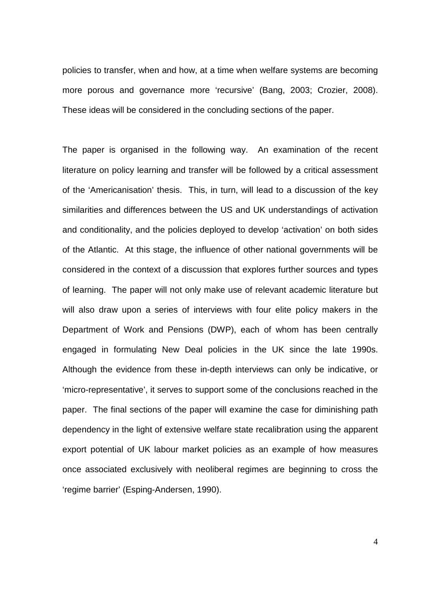policies to transfer, when and how, at a time when welfare systems are becoming more porous and governance more 'recursive' (Bang, 2003; Crozier, 2008). These ideas will be considered in the concluding sections of the paper.

The paper is organised in the following way. An examination of the recent literature on policy learning and transfer will be followed by a critical assessment of the 'Americanisation' thesis. This, in turn, will lead to a discussion of the key similarities and differences between the US and UK understandings of activation and conditionality, and the policies deployed to develop 'activation' on both sides of the Atlantic. At this stage, the influence of other national governments will be considered in the context of a discussion that explores further sources and types of learning. The paper will not only make use of relevant academic literature but will also draw upon a series of interviews with four elite policy makers in the Department of Work and Pensions (DWP), each of whom has been centrally engaged in formulating New Deal policies in the UK since the late 1990s. Although the evidence from these in-depth interviews can only be indicative, or 'micro-representative', it serves to support some of the conclusions reached in the paper. The final sections of the paper will examine the case for diminishing path dependency in the light of extensive welfare state recalibration using the apparent export potential of UK labour market policies as an example of how measures once associated exclusively with neoliberal regimes are beginning to cross the 'regime barrier' (Esping-Andersen, 1990).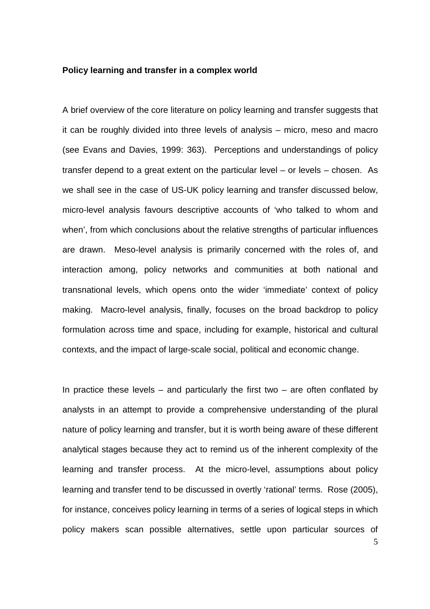#### **Policy learning and transfer in a complex world**

A brief overview of the core literature on policy learning and transfer suggests that it can be roughly divided into three levels of analysis – micro, meso and macro (see Evans and Davies, 1999: 363). Perceptions and understandings of policy transfer depend to a great extent on the particular level – or levels – chosen. As we shall see in the case of US-UK policy learning and transfer discussed below, micro-level analysis favours descriptive accounts of 'who talked to whom and when', from which conclusions about the relative strengths of particular influences are drawn. Meso-level analysis is primarily concerned with the roles of, and interaction among, policy networks and communities at both national and transnational levels, which opens onto the wider 'immediate' context of policy making. Macro-level analysis, finally, focuses on the broad backdrop to policy formulation across time and space, including for example, historical and cultural contexts, and the impact of large-scale social, political and economic change.

In practice these levels – and particularly the first two – are often conflated by analysts in an attempt to provide a comprehensive understanding of the plural nature of policy learning and transfer, but it is worth being aware of these different analytical stages because they act to remind us of the inherent complexity of the learning and transfer process. At the micro-level, assumptions about policy learning and transfer tend to be discussed in overtly 'rational' terms. Rose (2005), for instance, conceives policy learning in terms of a series of logical steps in which policy makers scan possible alternatives, settle upon particular sources of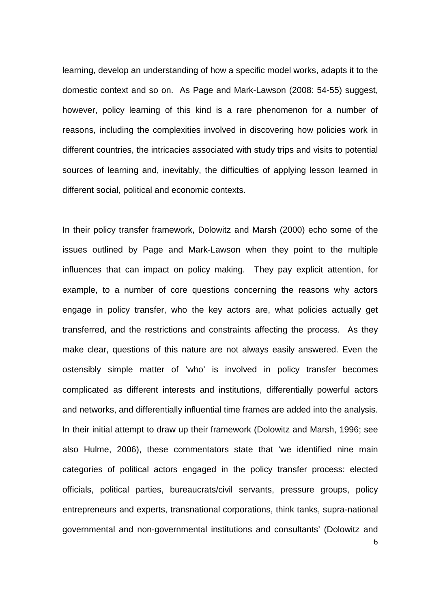learning, develop an understanding of how a specific model works, adapts it to the domestic context and so on. As Page and Mark-Lawson (2008: 54-55) suggest, however, policy learning of this kind is a rare phenomenon for a number of reasons, including the complexities involved in discovering how policies work in different countries, the intricacies associated with study trips and visits to potential sources of learning and, inevitably, the difficulties of applying lesson learned in different social, political and economic contexts.

6 In their policy transfer framework, Dolowitz and Marsh (2000) echo some of the issues outlined by Page and Mark-Lawson when they point to the multiple influences that can impact on policy making. They pay explicit attention, for example, to a number of core questions concerning the reasons why actors engage in policy transfer, who the key actors are, what policies actually get transferred, and the restrictions and constraints affecting the process. As they make clear, questions of this nature are not always easily answered. Even the ostensibly simple matter of 'who' is involved in policy transfer becomes complicated as different interests and institutions, differentially powerful actors and networks, and differentially influential time frames are added into the analysis. In their initial attempt to draw up their framework (Dolowitz and Marsh, 1996; see also Hulme, 2006), these commentators state that 'we identified nine main categories of political actors engaged in the policy transfer process: elected officials, political parties, bureaucrats/civil servants, pressure groups, policy entrepreneurs and experts, transnational corporations, think tanks, supra-national governmental and non-governmental institutions and consultants' (Dolowitz and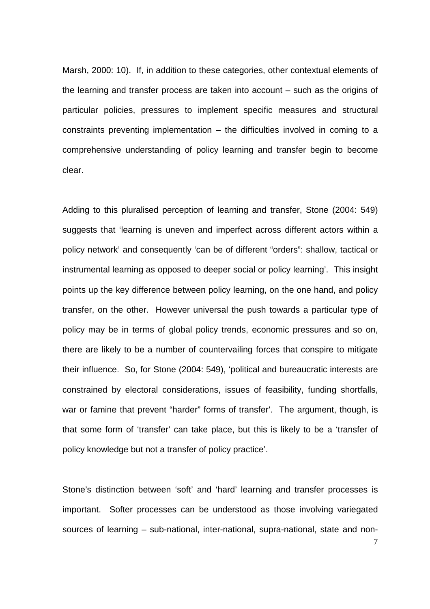Marsh, 2000: 10). If, in addition to these categories, other contextual elements of the learning and transfer process are taken into account – such as the origins of particular policies, pressures to implement specific measures and structural constraints preventing implementation – the difficulties involved in coming to a comprehensive understanding of policy learning and transfer begin to become clear.

Adding to this pluralised perception of learning and transfer, Stone (2004: 549) suggests that 'learning is uneven and imperfect across different actors within a policy network' and consequently 'can be of different "orders": shallow, tactical or instrumental learning as opposed to deeper social or policy learning'. This insight points up the key difference between policy learning, on the one hand, and policy transfer, on the other. However universal the push towards a particular type of policy may be in terms of global policy trends, economic pressures and so on, there are likely to be a number of countervailing forces that conspire to mitigate their influence. So, for Stone (2004: 549), 'political and bureaucratic interests are constrained by electoral considerations, issues of feasibility, funding shortfalls, war or famine that prevent "harder" forms of transfer'. The argument, though, is that some form of 'transfer' can take place, but this is likely to be a 'transfer of policy knowledge but not a transfer of policy practice'.

Stone's distinction between 'soft' and 'hard' learning and transfer processes is important. Softer processes can be understood as those involving variegated sources of learning – sub-national, inter-national, supra-national, state and non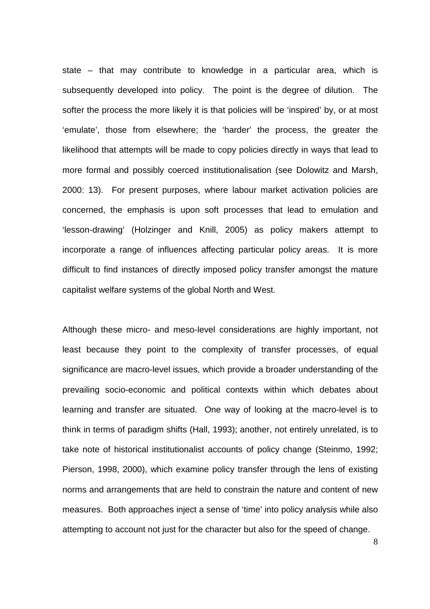state – that may contribute to knowledge in a particular area, which is subsequently developed into policy. The point is the degree of dilution. The softer the process the more likely it is that policies will be 'inspired' by, or at most 'emulate', those from elsewhere; the 'harder' the process, the greater the likelihood that attempts will be made to copy policies directly in ways that lead to more formal and possibly coerced institutionalisation (see Dolowitz and Marsh, 2000: 13). For present purposes, where labour market activation policies are concerned, the emphasis is upon soft processes that lead to emulation and 'lesson-drawing' (Holzinger and Knill, 2005) as policy makers attempt to incorporate a range of influences affecting particular policy areas. It is more difficult to find instances of directly imposed policy transfer amongst the mature capitalist welfare systems of the global North and West.

Although these micro- and meso-level considerations are highly important, not least because they point to the complexity of transfer processes, of equal significance are macro-level issues, which provide a broader understanding of the prevailing socio-economic and political contexts within which debates about learning and transfer are situated. One way of looking at the macro-level is to think in terms of paradigm shifts (Hall, 1993); another, not entirely unrelated, is to take note of historical institutionalist accounts of policy change (Steinmo, 1992; Pierson, 1998, 2000), which examine policy transfer through the lens of existing norms and arrangements that are held to constrain the nature and content of new measures. Both approaches inject a sense of 'time' into policy analysis while also attempting to account not just for the character but also for the speed of change.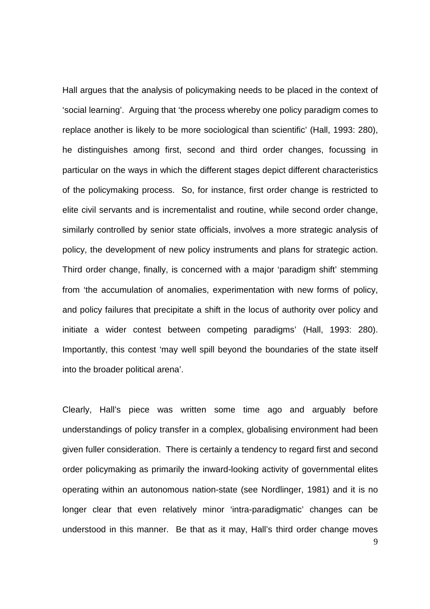Hall argues that the analysis of policymaking needs to be placed in the context of 'social learning'. Arguing that 'the process whereby one policy paradigm comes to replace another is likely to be more sociological than scientific' (Hall, 1993: 280), he distinguishes among first, second and third order changes, focussing in particular on the ways in which the different stages depict different characteristics of the policymaking process. So, for instance, first order change is restricted to elite civil servants and is incrementalist and routine, while second order change, similarly controlled by senior state officials, involves a more strategic analysis of policy, the development of new policy instruments and plans for strategic action. Third order change, finally, is concerned with a major 'paradigm shift' stemming from 'the accumulation of anomalies, experimentation with new forms of policy, and policy failures that precipitate a shift in the locus of authority over policy and initiate a wider contest between competing paradigms' (Hall, 1993: 280). Importantly, this contest 'may well spill beyond the boundaries of the state itself into the broader political arena'.

9 Clearly, Hall's piece was written some time ago and arguably before understandings of policy transfer in a complex, globalising environment had been given fuller consideration. There is certainly a tendency to regard first and second order policymaking as primarily the inward-looking activity of governmental elites operating within an autonomous nation-state (see Nordlinger, 1981) and it is no longer clear that even relatively minor 'intra-paradigmatic' changes can be understood in this manner. Be that as it may, Hall's third order change moves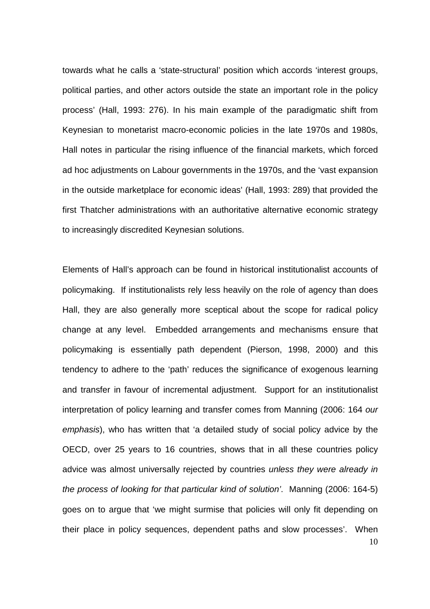towards what he calls a 'state-structural' position which accords 'interest groups, political parties, and other actors outside the state an important role in the policy process' (Hall, 1993: 276). In his main example of the paradigmatic shift from Keynesian to monetarist macro-economic policies in the late 1970s and 1980s, Hall notes in particular the rising influence of the financial markets, which forced ad hoc adjustments on Labour governments in the 1970s, and the 'vast expansion in the outside marketplace for economic ideas' (Hall, 1993: 289) that provided the first Thatcher administrations with an authoritative alternative economic strategy to increasingly discredited Keynesian solutions.

10 Elements of Hall's approach can be found in historical institutionalist accounts of policymaking. If institutionalists rely less heavily on the role of agency than does Hall, they are also generally more sceptical about the scope for radical policy change at any level. Embedded arrangements and mechanisms ensure that policymaking is essentially path dependent (Pierson, 1998, 2000) and this tendency to adhere to the 'path' reduces the significance of exogenous learning and transfer in favour of incremental adjustment. Support for an institutionalist interpretation of policy learning and transfer comes from Manning (2006: 164 *our emphasis*), who has written that 'a detailed study of social policy advice by the OECD, over 25 years to 16 countries, shows that in all these countries policy advice was almost universally rejected by countries *unless they were already in the process of looking for that particular kind of solution'*. Manning (2006: 164-5) goes on to argue that 'we might surmise that policies will only fit depending on their place in policy sequences, dependent paths and slow processes'. When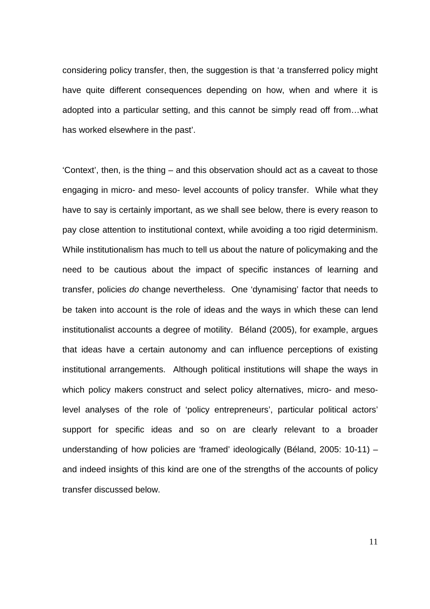considering policy transfer, then, the suggestion is that 'a transferred policy might have quite different consequences depending on how, when and where it is adopted into a particular setting, and this cannot be simply read off from…what has worked elsewhere in the past'.

'Context', then, is the thing – and this observation should act as a caveat to those engaging in micro- and meso- level accounts of policy transfer. While what they have to say is certainly important, as we shall see below, there is every reason to pay close attention to institutional context, while avoiding a too rigid determinism. While institutionalism has much to tell us about the nature of policymaking and the need to be cautious about the impact of specific instances of learning and transfer, policies *do* change nevertheless. One 'dynamising' factor that needs to be taken into account is the role of ideas and the ways in which these can lend institutionalist accounts a degree of motility. Béland (2005), for example, argues that ideas have a certain autonomy and can influence perceptions of existing institutional arrangements. Although political institutions will shape the ways in which policy makers construct and select policy alternatives, micro- and mesolevel analyses of the role of 'policy entrepreneurs', particular political actors' support for specific ideas and so on are clearly relevant to a broader understanding of how policies are 'framed' ideologically (Béland, 2005: 10-11) – and indeed insights of this kind are one of the strengths of the accounts of policy transfer discussed below.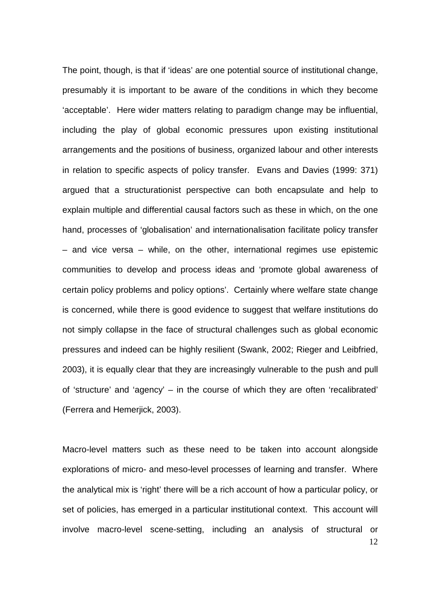The point, though, is that if 'ideas' are one potential source of institutional change, presumably it is important to be aware of the conditions in which they become 'acceptable'. Here wider matters relating to paradigm change may be influential, including the play of global economic pressures upon existing institutional arrangements and the positions of business, organized labour and other interests in relation to specific aspects of policy transfer. Evans and Davies (1999: 371) argued that a structurationist perspective can both encapsulate and help to explain multiple and differential causal factors such as these in which, on the one hand, processes of 'globalisation' and internationalisation facilitate policy transfer – and vice versa – while, on the other, international regimes use epistemic communities to develop and process ideas and 'promote global awareness of certain policy problems and policy options'. Certainly where welfare state change is concerned, while there is good evidence to suggest that welfare institutions do not simply collapse in the face of structural challenges such as global economic pressures and indeed can be highly resilient (Swank, 2002; Rieger and Leibfried, 2003), it is equally clear that they are increasingly vulnerable to the push and pull of 'structure' and 'agency' – in the course of which they are often 'recalibrated' (Ferrera and Hemerjick, 2003).

12 Macro-level matters such as these need to be taken into account alongside explorations of micro- and meso-level processes of learning and transfer. Where the analytical mix is 'right' there will be a rich account of how a particular policy, or set of policies, has emerged in a particular institutional context. This account will involve macro-level scene-setting, including an analysis of structural or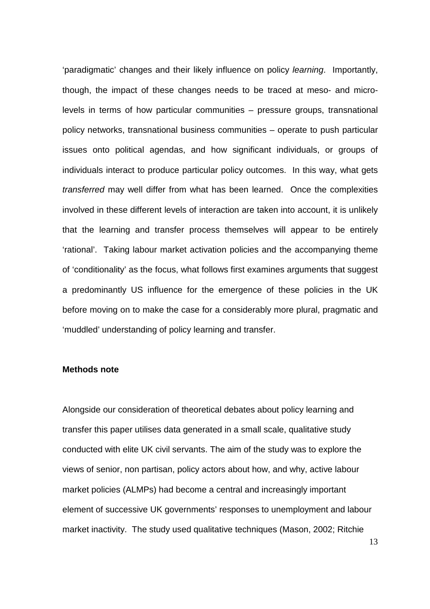'paradigmatic' changes and their likely influence on policy *learning*. Importantly, though, the impact of these changes needs to be traced at meso- and microlevels in terms of how particular communities – pressure groups, transnational policy networks, transnational business communities – operate to push particular issues onto political agendas, and how significant individuals, or groups of individuals interact to produce particular policy outcomes. In this way, what gets *transferred* may well differ from what has been learned. Once the complexities involved in these different levels of interaction are taken into account, it is unlikely that the learning and transfer process themselves will appear to be entirely 'rational'. Taking labour market activation policies and the accompanying theme of 'conditionality' as the focus, what follows first examines arguments that suggest a predominantly US influence for the emergence of these policies in the UK before moving on to make the case for a considerably more plural, pragmatic and 'muddled' understanding of policy learning and transfer.

## **Methods note**

Alongside our consideration of theoretical debates about policy learning and transfer this paper utilises data generated in a small scale, qualitative study conducted with elite UK civil servants. The aim of the study was to explore the views of senior, non partisan, policy actors about how, and why, active labour market policies (ALMPs) had become a central and increasingly important element of successive UK governments' responses to unemployment and labour market inactivity. The study used qualitative techniques (Mason, 2002; Ritchie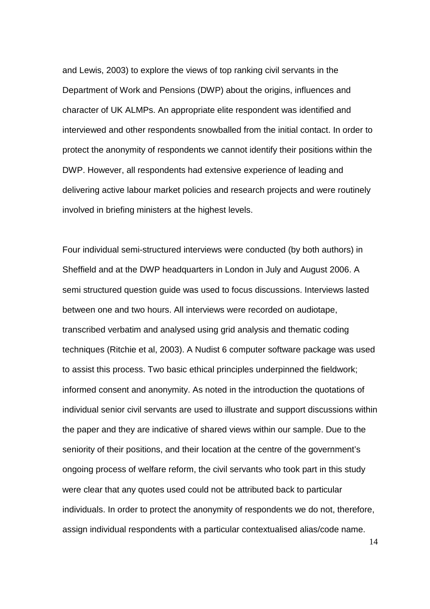and Lewis, 2003) to explore the views of top ranking civil servants in the Department of Work and Pensions (DWP) about the origins, influences and character of UK ALMPs. An appropriate elite respondent was identified and interviewed and other respondents snowballed from the initial contact. In order to protect the anonymity of respondents we cannot identify their positions within the DWP. However, all respondents had extensive experience of leading and delivering active labour market policies and research projects and were routinely involved in briefing ministers at the highest levels.

Four individual semi-structured interviews were conducted (by both authors) in Sheffield and at the DWP headquarters in London in July and August 2006. A semi structured question guide was used to focus discussions. Interviews lasted between one and two hours. All interviews were recorded on audiotape, transcribed verbatim and analysed using grid analysis and thematic coding techniques (Ritchie et al, 2003). A Nudist 6 computer software package was used to assist this process. Two basic ethical principles underpinned the fieldwork; informed consent and anonymity. As noted in the introduction the quotations of individual senior civil servants are used to illustrate and support discussions within the paper and they are indicative of shared views within our sample. Due to the seniority of their positions, and their location at the centre of the government's ongoing process of welfare reform, the civil servants who took part in this study were clear that any quotes used could not be attributed back to particular individuals. In order to protect the anonymity of respondents we do not, therefore, assign individual respondents with a particular contextualised alias/code name.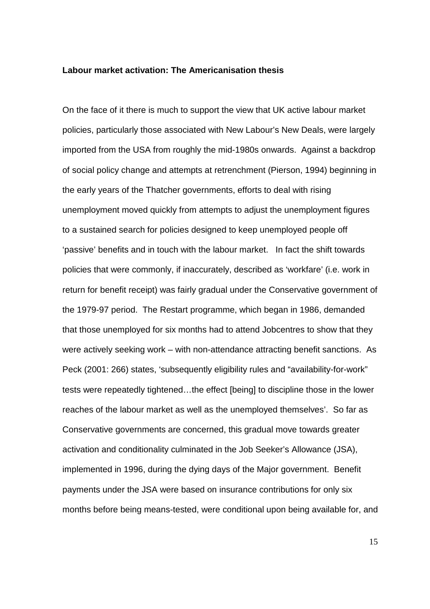#### **Labour market activation: The Americanisation thesis**

On the face of it there is much to support the view that UK active labour market policies, particularly those associated with New Labour's New Deals, were largely imported from the USA from roughly the mid-1980s onwards. Against a backdrop of social policy change and attempts at retrenchment (Pierson, 1994) beginning in the early years of the Thatcher governments, efforts to deal with rising unemployment moved quickly from attempts to adjust the unemployment figures to a sustained search for policies designed to keep unemployed people off 'passive' benefits and in touch with the labour market. In fact the shift towards policies that were commonly, if inaccurately, described as 'workfare' (i.e. work in return for benefit receipt) was fairly gradual under the Conservative government of the 1979-97 period. The Restart programme, which began in 1986, demanded that those unemployed for six months had to attend Jobcentres to show that they were actively seeking work – with non-attendance attracting benefit sanctions. As Peck (2001: 266) states, 'subsequently eligibility rules and "availability-for-work" tests were repeatedly tightened…the effect [being] to discipline those in the lower reaches of the labour market as well as the unemployed themselves'. So far as Conservative governments are concerned, this gradual move towards greater activation and conditionality culminated in the Job Seeker's Allowance (JSA), implemented in 1996, during the dying days of the Major government. Benefit payments under the JSA were based on insurance contributions for only six months before being means-tested, were conditional upon being available for, and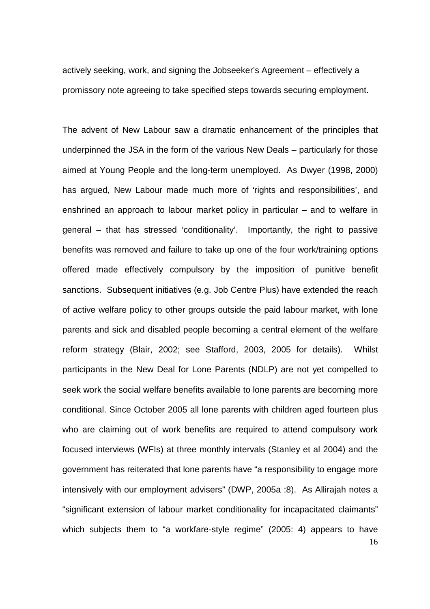actively seeking, work, and signing the Jobseeker's Agreement – effectively a promissory note agreeing to take specified steps towards securing employment.

16 The advent of New Labour saw a dramatic enhancement of the principles that underpinned the JSA in the form of the various New Deals – particularly for those aimed at Young People and the long-term unemployed. As Dwyer (1998, 2000) has argued, New Labour made much more of 'rights and responsibilities', and enshrined an approach to labour market policy in particular – and to welfare in general – that has stressed 'conditionality'. Importantly, the right to passive benefits was removed and failure to take up one of the four work/training options offered made effectively compulsory by the imposition of punitive benefit sanctions. Subsequent initiatives (e.g. Job Centre Plus) have extended the reach of active welfare policy to other groups outside the paid labour market, with lone parents and sick and disabled people becoming a central element of the welfare reform strategy (Blair, 2002; see Stafford, 2003, 2005 for details). Whilst participants in the New Deal for Lone Parents (NDLP) are not yet compelled to seek work the social welfare benefits available to lone parents are becoming more conditional. Since October 2005 all lone parents with children aged fourteen plus who are claiming out of work benefits are required to attend compulsory work focused interviews (WFIs) at three monthly intervals (Stanley et al 2004) and the government has reiterated that lone parents have "a responsibility to engage more intensively with our employment advisers" (DWP, 2005a :8). As Allirajah notes a "significant extension of labour market conditionality for incapacitated claimants" which subjects them to "a workfare-style regime" (2005: 4) appears to have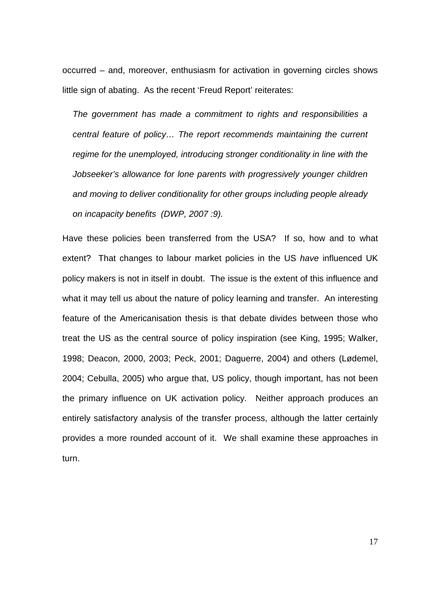occurred – and, moreover, enthusiasm for activation in governing circles shows little sign of abating. As the recent 'Freud Report' reiterates:

*The government has made a commitment to rights and responsibilities a central feature of policy… The report recommends maintaining the current regime for the unemployed, introducing stronger conditionality in line with the Jobseeker's allowance for lone parents with progressively younger children and moving to deliver conditionality for other groups including people already on incapacity benefits (DWP, 2007 :9).*

Have these policies been transferred from the USA? If so, how and to what extent? That changes to labour market policies in the US *have* influenced UK policy makers is not in itself in doubt. The issue is the extent of this influence and what it may tell us about the nature of policy learning and transfer. An interesting feature of the Americanisation thesis is that debate divides between those who treat the US as the central source of policy inspiration (see King, 1995; Walker, 1998; Deacon, 2000, 2003; Peck, 2001; Daguerre, 2004) and others (Lødemel, 2004; Cebulla, 2005) who argue that, US policy, though important, has not been the primary influence on UK activation policy. Neither approach produces an entirely satisfactory analysis of the transfer process, although the latter certainly provides a more rounded account of it. We shall examine these approaches in turn.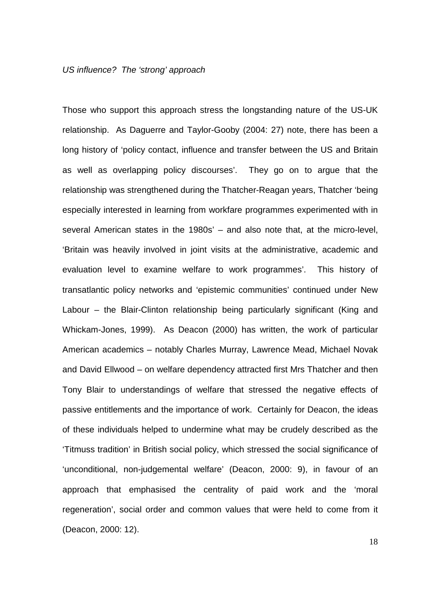#### *US influence? The 'strong' approach*

Those who support this approach stress the longstanding nature of the US-UK relationship. As Daguerre and Taylor-Gooby (2004: 27) note, there has been a long history of 'policy contact, influence and transfer between the US and Britain as well as overlapping policy discourses'. They go on to argue that the relationship was strengthened during the Thatcher-Reagan years, Thatcher 'being especially interested in learning from workfare programmes experimented with in several American states in the 1980s' – and also note that, at the micro-level, 'Britain was heavily involved in joint visits at the administrative, academic and evaluation level to examine welfare to work programmes'. This history of transatlantic policy networks and 'epistemic communities' continued under New Labour – the Blair-Clinton relationship being particularly significant (King and Whickam-Jones, 1999). As Deacon (2000) has written, the work of particular American academics – notably Charles Murray, Lawrence Mead, Michael Novak and David Ellwood – on welfare dependency attracted first Mrs Thatcher and then Tony Blair to understandings of welfare that stressed the negative effects of passive entitlements and the importance of work. Certainly for Deacon, the ideas of these individuals helped to undermine what may be crudely described as the 'Titmuss tradition' in British social policy, which stressed the social significance of 'unconditional, non-judgemental welfare' (Deacon, 2000: 9), in favour of an approach that emphasised the centrality of paid work and the 'moral regeneration', social order and common values that were held to come from it (Deacon, 2000: 12).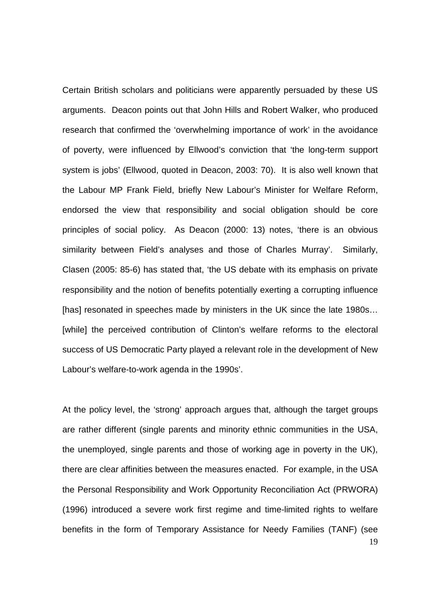Certain British scholars and politicians were apparently persuaded by these US arguments. Deacon points out that John Hills and Robert Walker, who produced research that confirmed the 'overwhelming importance of work' in the avoidance of poverty, were influenced by Ellwood's conviction that 'the long-term support system is jobs' (Ellwood, quoted in Deacon, 2003: 70). It is also well known that the Labour MP Frank Field, briefly New Labour's Minister for Welfare Reform, endorsed the view that responsibility and social obligation should be core principles of social policy. As Deacon (2000: 13) notes, 'there is an obvious similarity between Field's analyses and those of Charles Murray'. Similarly, Clasen (2005: 85-6) has stated that, 'the US debate with its emphasis on private responsibility and the notion of benefits potentially exerting a corrupting influence [has] resonated in speeches made by ministers in the UK since the late 1980s... [while] the perceived contribution of Clinton's welfare reforms to the electoral success of US Democratic Party played a relevant role in the development of New Labour's welfare-to-work agenda in the 1990s'.

19 At the policy level, the 'strong' approach argues that, although the target groups are rather different (single parents and minority ethnic communities in the USA, the unemployed, single parents and those of working age in poverty in the UK), there are clear affinities between the measures enacted. For example, in the USA the Personal Responsibility and Work Opportunity Reconciliation Act (PRWORA) (1996) introduced a severe work first regime and time-limited rights to welfare benefits in the form of Temporary Assistance for Needy Families (TANF) (see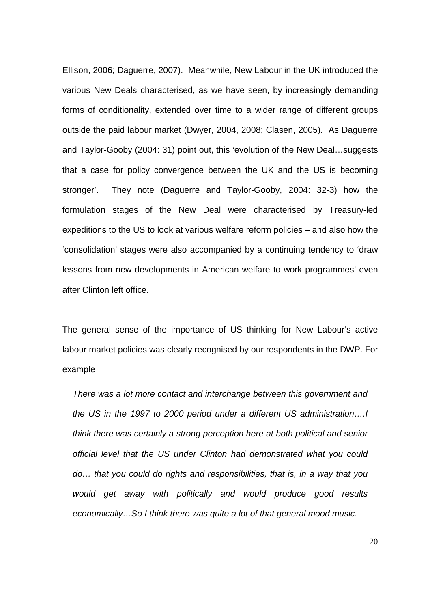Ellison, 2006; Daguerre, 2007). Meanwhile, New Labour in the UK introduced the various New Deals characterised, as we have seen, by increasingly demanding forms of conditionality, extended over time to a wider range of different groups outside the paid labour market (Dwyer, 2004, 2008; Clasen, 2005). As Daguerre and Taylor-Gooby (2004: 31) point out, this 'evolution of the New Deal…suggests that a case for policy convergence between the UK and the US is becoming stronger'. They note (Daguerre and Taylor-Gooby, 2004: 32-3) how the formulation stages of the New Deal were characterised by Treasury-led expeditions to the US to look at various welfare reform policies – and also how the 'consolidation' stages were also accompanied by a continuing tendency to 'draw lessons from new developments in American welfare to work programmes' even after Clinton left office.

The general sense of the importance of US thinking for New Labour's active labour market policies was clearly recognised by our respondents in the DWP. For example

*There was a lot more contact and interchange between this government and the US in the 1997 to 2000 period under a different US administration….I think there was certainly a strong perception here at both political and senior official level that the US under Clinton had demonstrated what you could do… that you could do rights and responsibilities, that is, in a way that you would get away with politically and would produce good results economically…So I think there was quite a lot of that general mood music.*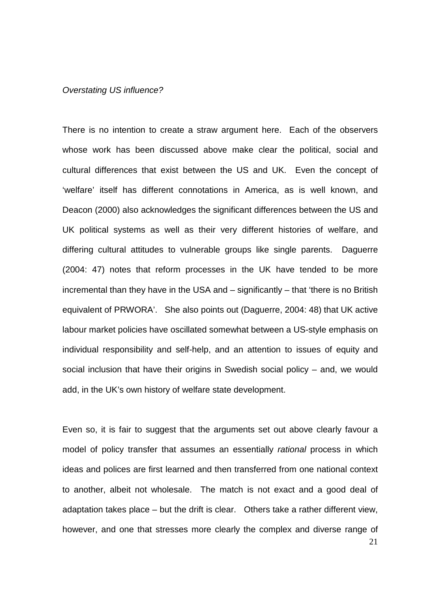#### *Overstating US influence?*

There is no intention to create a straw argument here. Each of the observers whose work has been discussed above make clear the political, social and cultural differences that exist between the US and UK. Even the concept of 'welfare' itself has different connotations in America, as is well known, and Deacon (2000) also acknowledges the significant differences between the US and UK political systems as well as their very different histories of welfare, and differing cultural attitudes to vulnerable groups like single parents. Daguerre (2004: 47) notes that reform processes in the UK have tended to be more incremental than they have in the USA and – significantly – that 'there is no British equivalent of PRWORA'. She also points out (Daguerre, 2004: 48) that UK active labour market policies have oscillated somewhat between a US-style emphasis on individual responsibility and self-help, and an attention to issues of equity and social inclusion that have their origins in Swedish social policy – and, we would add, in the UK's own history of welfare state development.

21 Even so, it is fair to suggest that the arguments set out above clearly favour a model of policy transfer that assumes an essentially *rational* process in which ideas and polices are first learned and then transferred from one national context to another, albeit not wholesale. The match is not exact and a good deal of adaptation takes place – but the drift is clear. Others take a rather different view, however, and one that stresses more clearly the complex and diverse range of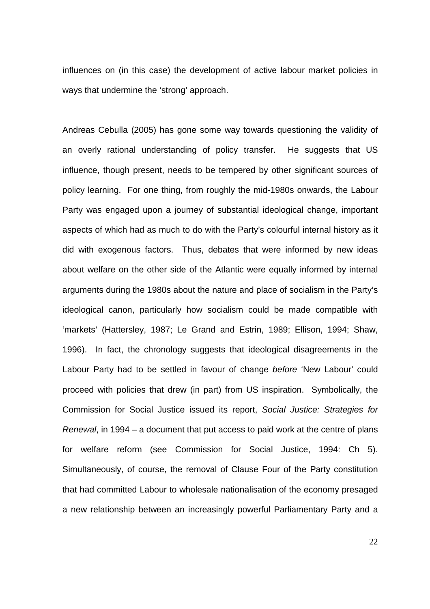influences on (in this case) the development of active labour market policies in ways that undermine the 'strong' approach.

Andreas Cebulla (2005) has gone some way towards questioning the validity of an overly rational understanding of policy transfer. He suggests that US influence, though present, needs to be tempered by other significant sources of policy learning. For one thing, from roughly the mid-1980s onwards, the Labour Party was engaged upon a journey of substantial ideological change, important aspects of which had as much to do with the Party's colourful internal history as it did with exogenous factors. Thus, debates that were informed by new ideas about welfare on the other side of the Atlantic were equally informed by internal arguments during the 1980s about the nature and place of socialism in the Party's ideological canon, particularly how socialism could be made compatible with 'markets' (Hattersley, 1987; Le Grand and Estrin, 1989; Ellison, 1994; Shaw, 1996). In fact, the chronology suggests that ideological disagreements in the Labour Party had to be settled in favour of change *before* 'New Labour' could proceed with policies that drew (in part) from US inspiration. Symbolically, the Commission for Social Justice issued its report, *Social Justice: Strategies for Renewal*, in 1994 – a document that put access to paid work at the centre of plans for welfare reform (see Commission for Social Justice, 1994: Ch 5). Simultaneously, of course, the removal of Clause Four of the Party constitution that had committed Labour to wholesale nationalisation of the economy presaged a new relationship between an increasingly powerful Parliamentary Party and a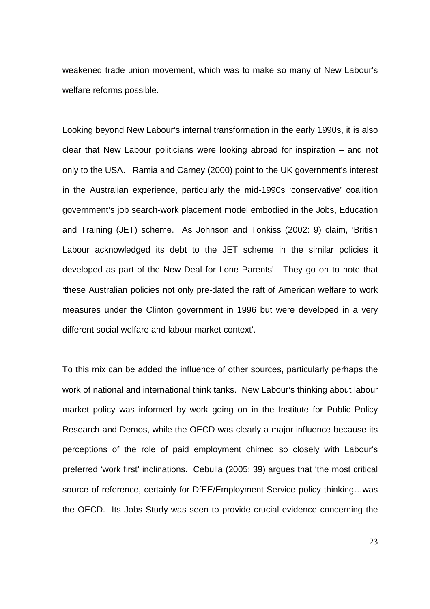weakened trade union movement, which was to make so many of New Labour's welfare reforms possible.

Looking beyond New Labour's internal transformation in the early 1990s, it is also clear that New Labour politicians were looking abroad for inspiration – and not only to the USA. Ramia and Carney (2000) point to the UK government's interest in the Australian experience, particularly the mid-1990s 'conservative' coalition government's job search-work placement model embodied in the Jobs, Education and Training (JET) scheme. As Johnson and Tonkiss (2002: 9) claim, 'British Labour acknowledged its debt to the JET scheme in the similar policies it developed as part of the New Deal for Lone Parents'. They go on to note that 'these Australian policies not only pre-dated the raft of American welfare to work measures under the Clinton government in 1996 but were developed in a very different social welfare and labour market context'.

To this mix can be added the influence of other sources, particularly perhaps the work of national and international think tanks. New Labour's thinking about labour market policy was informed by work going on in the Institute for Public Policy Research and Demos, while the OECD was clearly a major influence because its perceptions of the role of paid employment chimed so closely with Labour's preferred 'work first' inclinations. Cebulla (2005: 39) argues that 'the most critical source of reference, certainly for DfEE/Employment Service policy thinking…was the OECD. Its Jobs Study was seen to provide crucial evidence concerning the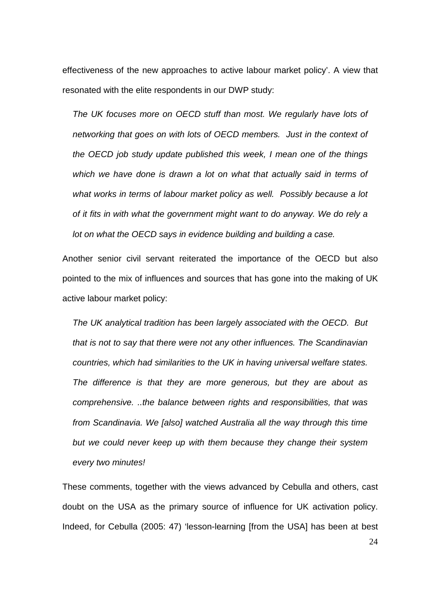effectiveness of the new approaches to active labour market policy'. A view that resonated with the elite respondents in our DWP study:

*The UK focuses more on OECD stuff than most. We regularly have lots of networking that goes on with lots of OECD members. Just in the context of the OECD job study update published this week, I mean one of the things which we have done is drawn a lot on what that actually said in terms of what works in terms of labour market policy as well. Possibly because a lot of it fits in with what the government might want to do anyway. We do rely a lot on what the OECD says in evidence building and building a case.* 

Another senior civil servant reiterated the importance of the OECD but also pointed to the mix of influences and sources that has gone into the making of UK active labour market policy:

*The UK analytical tradition has been largely associated with the OECD. But that is not to say that there were not any other influences. The Scandinavian countries, which had similarities to the UK in having universal welfare states. The difference is that they are more generous, but they are about as comprehensive. ..the balance between rights and responsibilities, that was*  from Scandinavia. We [also] watched Australia all the way through this time *but we could never keep up with them because they change their system every two minutes!* 

These comments, together with the views advanced by Cebulla and others, cast doubt on the USA as the primary source of influence for UK activation policy. Indeed, for Cebulla (2005: 47) 'lesson-learning [from the USA] has been at best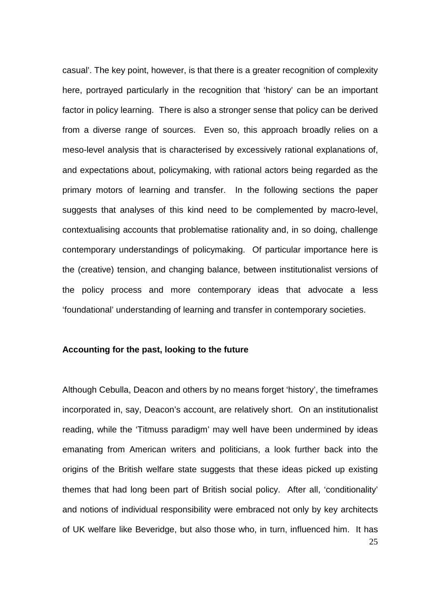casual'. The key point, however, is that there is a greater recognition of complexity here, portrayed particularly in the recognition that 'history' can be an important factor in policy learning. There is also a stronger sense that policy can be derived from a diverse range of sources. Even so, this approach broadly relies on a meso-level analysis that is characterised by excessively rational explanations of, and expectations about, policymaking, with rational actors being regarded as the primary motors of learning and transfer. In the following sections the paper suggests that analyses of this kind need to be complemented by macro-level, contextualising accounts that problematise rationality and, in so doing, challenge contemporary understandings of policymaking. Of particular importance here is the (creative) tension, and changing balance, between institutionalist versions of the policy process and more contemporary ideas that advocate a less 'foundational' understanding of learning and transfer in contemporary societies.

#### **Accounting for the past, looking to the future**

Although Cebulla, Deacon and others by no means forget 'history', the timeframes incorporated in, say, Deacon's account, are relatively short. On an institutionalist reading, while the 'Titmuss paradigm' may well have been undermined by ideas emanating from American writers and politicians, a look further back into the origins of the British welfare state suggests that these ideas picked up existing themes that had long been part of British social policy. After all, 'conditionality' and notions of individual responsibility were embraced not only by key architects of UK welfare like Beveridge, but also those who, in turn, influenced him. It has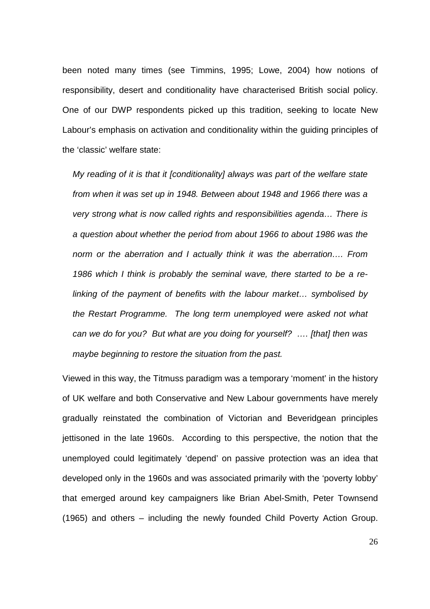been noted many times (see Timmins, 1995; Lowe, 2004) how notions of responsibility, desert and conditionality have characterised British social policy. One of our DWP respondents picked up this tradition, seeking to locate New Labour's emphasis on activation and conditionality within the guiding principles of the 'classic' welfare state:

*My reading of it is that it [conditionality] always was part of the welfare state*  from when it was set up in 1948. Between about 1948 and 1966 there was a *very strong what is now called rights and responsibilities agenda… There is a question about whether the period from about 1966 to about 1986 was the norm or the aberration and I actually think it was the aberration…. From 1986 which I think is probably the seminal wave, there started to be a relinking of the payment of benefits with the labour market… symbolised by the Restart Programme. The long term unemployed were asked not what can we do for you? But what are you doing for yourself? …. [that] then was maybe beginning to restore the situation from the past.* 

Viewed in this way, the Titmuss paradigm was a temporary 'moment' in the history of UK welfare and both Conservative and New Labour governments have merely gradually reinstated the combination of Victorian and Beveridgean principles jettisoned in the late 1960s. According to this perspective, the notion that the unemployed could legitimately 'depend' on passive protection was an idea that developed only in the 1960s and was associated primarily with the 'poverty lobby' that emerged around key campaigners like Brian Abel-Smith, Peter Townsend (1965) and others – including the newly founded Child Poverty Action Group.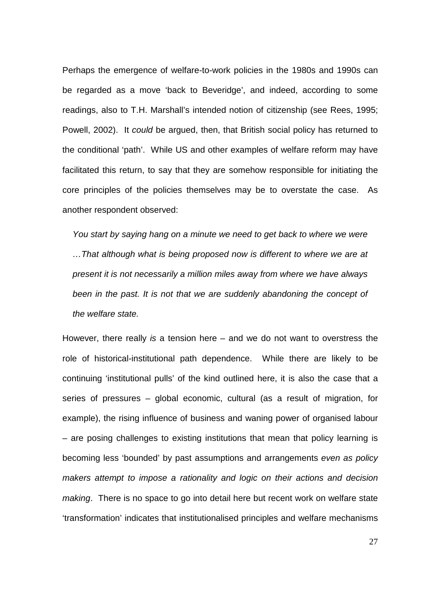Perhaps the emergence of welfare-to-work policies in the 1980s and 1990s can be regarded as a move 'back to Beveridge', and indeed, according to some readings, also to T.H. Marshall's intended notion of citizenship (see Rees, 1995; Powell, 2002). It *could* be argued, then, that British social policy has returned to the conditional 'path'. While US and other examples of welfare reform may have facilitated this return, to say that they are somehow responsible for initiating the core principles of the policies themselves may be to overstate the case. As another respondent observed:

You start by saying hang on a minute we need to get back to where we were *…That although what is being proposed now is different to where we are at present it is not necessarily a million miles away from where we have always*  been in the past. It is not that we are suddenly abandoning the concept of *the welfare state.*

However, there really *is* a tension here – and we do not want to overstress the role of historical-institutional path dependence. While there are likely to be continuing 'institutional pulls' of the kind outlined here, it is also the case that a series of pressures – global economic, cultural (as a result of migration, for example), the rising influence of business and waning power of organised labour – are posing challenges to existing institutions that mean that policy learning is becoming less 'bounded' by past assumptions and arrangements *even as policy makers attempt to impose a rationality and logic on their actions and decision making*. There is no space to go into detail here but recent work on welfare state 'transformation' indicates that institutionalised principles and welfare mechanisms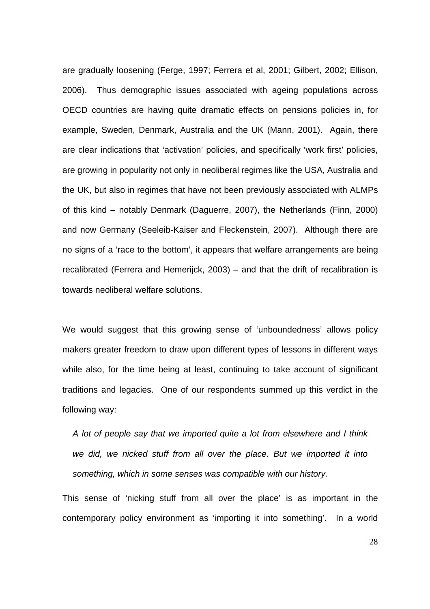are gradually loosening (Ferge, 1997; Ferrera et al, 2001; Gilbert, 2002; Ellison, 2006). Thus demographic issues associated with ageing populations across OECD countries are having quite dramatic effects on pensions policies in, for example, Sweden, Denmark, Australia and the UK (Mann, 2001). Again, there are clear indications that 'activation' policies, and specifically 'work first' policies, are growing in popularity not only in neoliberal regimes like the USA, Australia and the UK, but also in regimes that have not been previously associated with ALMPs of this kind – notably Denmark (Daguerre, 2007), the Netherlands (Finn, 2000) and now Germany (Seeleib-Kaiser and Fleckenstein, 2007). Although there are no signs of a 'race to the bottom', it appears that welfare arrangements are being recalibrated (Ferrera and Hemerijck, 2003) – and that the drift of recalibration is towards neoliberal welfare solutions.

We would suggest that this growing sense of 'unboundedness' allows policy makers greater freedom to draw upon different types of lessons in different ways while also, for the time being at least, continuing to take account of significant traditions and legacies. One of our respondents summed up this verdict in the following way:

*A lot of people say that we imported quite a lot from elsewhere and I think we did, we nicked stuff from all over the place. But we imported it into something, which in some senses was compatible with our history.* 

This sense of 'nicking stuff from all over the place' is as important in the contemporary policy environment as 'importing it into something'. In a world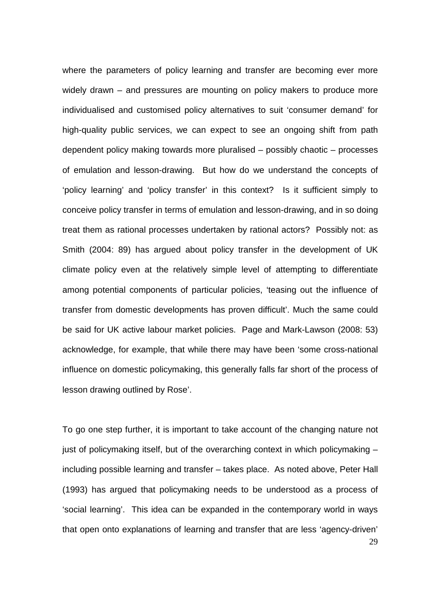where the parameters of policy learning and transfer are becoming ever more widely drawn – and pressures are mounting on policy makers to produce more individualised and customised policy alternatives to suit 'consumer demand' for high-quality public services, we can expect to see an ongoing shift from path dependent policy making towards more pluralised – possibly chaotic – processes of emulation and lesson-drawing. But how do we understand the concepts of 'policy learning' and 'policy transfer' in this context? Is it sufficient simply to conceive policy transfer in terms of emulation and lesson-drawing, and in so doing treat them as rational processes undertaken by rational actors? Possibly not: as Smith (2004: 89) has argued about policy transfer in the development of UK climate policy even at the relatively simple level of attempting to differentiate among potential components of particular policies, 'teasing out the influence of transfer from domestic developments has proven difficult'. Much the same could be said for UK active labour market policies. Page and Mark-Lawson (2008: 53) acknowledge, for example, that while there may have been 'some cross-national influence on domestic policymaking, this generally falls far short of the process of lesson drawing outlined by Rose'.

29 To go one step further, it is important to take account of the changing nature not just of policymaking itself, but of the overarching context in which policymaking – including possible learning and transfer – takes place. As noted above, Peter Hall (1993) has argued that policymaking needs to be understood as a process of 'social learning'. This idea can be expanded in the contemporary world in ways that open onto explanations of learning and transfer that are less 'agency-driven'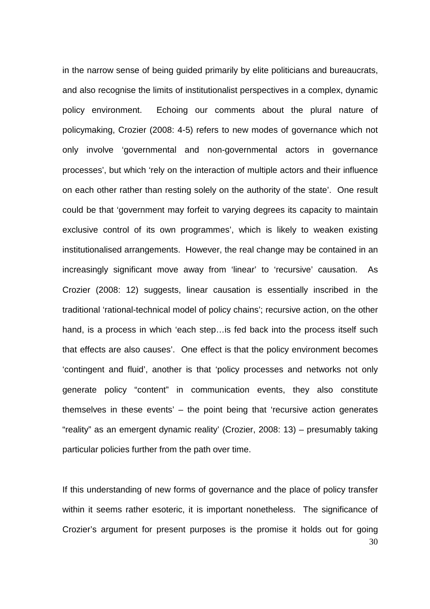in the narrow sense of being guided primarily by elite politicians and bureaucrats, and also recognise the limits of institutionalist perspectives in a complex, dynamic policy environment. Echoing our comments about the plural nature of policymaking, Crozier (2008: 4-5) refers to new modes of governance which not only involve 'governmental and non-governmental actors in governance processes', but which 'rely on the interaction of multiple actors and their influence on each other rather than resting solely on the authority of the state'. One result could be that 'government may forfeit to varying degrees its capacity to maintain exclusive control of its own programmes', which is likely to weaken existing institutionalised arrangements. However, the real change may be contained in an increasingly significant move away from 'linear' to 'recursive' causation. As Crozier (2008: 12) suggests, linear causation is essentially inscribed in the traditional 'rational-technical model of policy chains'; recursive action, on the other hand, is a process in which 'each step... is fed back into the process itself such that effects are also causes'. One effect is that the policy environment becomes 'contingent and fluid', another is that 'policy processes and networks not only generate policy "content" in communication events, they also constitute themselves in these events' – the point being that 'recursive action generates "reality" as an emergent dynamic reality' (Crozier, 2008: 13) – presumably taking particular policies further from the path over time.

30 If this understanding of new forms of governance and the place of policy transfer within it seems rather esoteric, it is important nonetheless. The significance of Crozier's argument for present purposes is the promise it holds out for going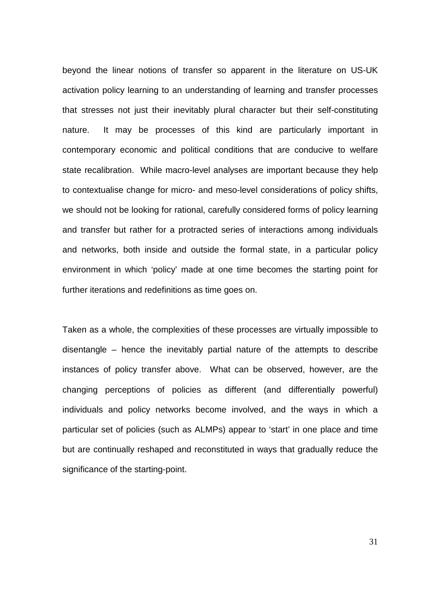beyond the linear notions of transfer so apparent in the literature on US-UK activation policy learning to an understanding of learning and transfer processes that stresses not just their inevitably plural character but their self-constituting nature. It may be processes of this kind are particularly important in contemporary economic and political conditions that are conducive to welfare state recalibration. While macro-level analyses are important because they help to contextualise change for micro- and meso-level considerations of policy shifts, we should not be looking for rational, carefully considered forms of policy learning and transfer but rather for a protracted series of interactions among individuals and networks, both inside and outside the formal state, in a particular policy environment in which 'policy' made at one time becomes the starting point for further iterations and redefinitions as time goes on.

Taken as a whole, the complexities of these processes are virtually impossible to disentangle – hence the inevitably partial nature of the attempts to describe instances of policy transfer above. What can be observed, however, are the changing perceptions of policies as different (and differentially powerful) individuals and policy networks become involved, and the ways in which a particular set of policies (such as ALMPs) appear to 'start' in one place and time but are continually reshaped and reconstituted in ways that gradually reduce the significance of the starting-point.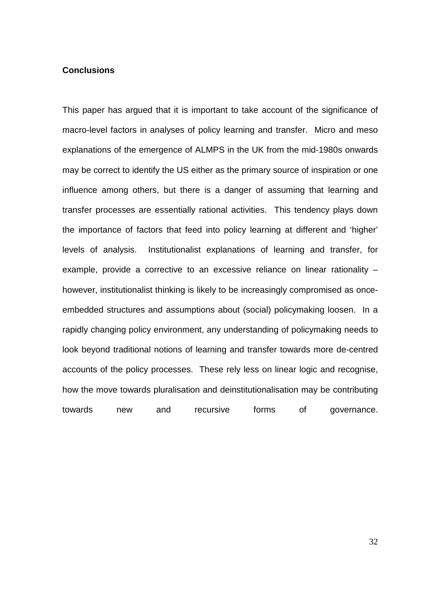# **Conclusions**

This paper has argued that it is important to take account of the significance of macro-level factors in analyses of policy learning and transfer. Micro and meso explanations of the emergence of ALMPS in the UK from the mid-1980s onwards may be correct to identify the US either as the primary source of inspiration or one influence among others, but there is a danger of assuming that learning and transfer processes are essentially rational activities. This tendency plays down the importance of factors that feed into policy learning at different and 'higher' levels of analysis. Institutionalist explanations of learning and transfer, for example, provide a corrective to an excessive reliance on linear rationality – however, institutionalist thinking is likely to be increasingly compromised as onceembedded structures and assumptions about (social) policymaking loosen. In a rapidly changing policy environment, any understanding of policymaking needs to look beyond traditional notions of learning and transfer towards more de-centred accounts of the policy processes. These rely less on linear logic and recognise, how the move towards pluralisation and deinstitutionalisation may be contributing towards new and recursive forms of governance.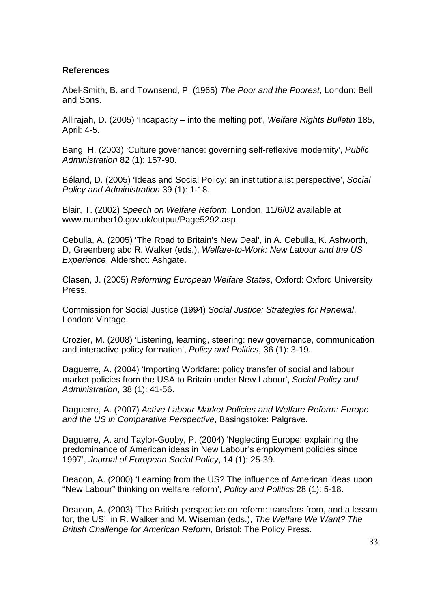# **References**

Abel-Smith, B. and Townsend, P. (1965) *The Poor and the Poorest*, London: Bell and Sons.

Allirajah, D. (2005) 'Incapacity – into the melting pot', *Welfare Rights Bulletin* 185, April: 4-5.

Bang, H. (2003) 'Culture governance: governing self-reflexive modernity', *Public Administration* 82 (1): 157-90.

Béland, D. (2005) 'Ideas and Social Policy: an institutionalist perspective', *Social Policy and Administration* 39 (1): 1-18.

Blair, T. (2002) *Speech on Welfare Reform*, London, 11/6/02 available at www.number10.gov.uk/output/Page5292.asp.

Cebulla, A. (2005) 'The Road to Britain's New Deal', in A. Cebulla, K. Ashworth, D, Greenberg abd R. Walker (eds.), *Welfare-to-Work: New Labour and the US Experience*, Aldershot: Ashgate.

Clasen, J. (2005) *Reforming European Welfare States*, Oxford: Oxford University Press.

Commission for Social Justice (1994) *Social Justice: Strategies for Renewal*, London: Vintage.

Crozier, M. (2008) 'Listening, learning, steering: new governance, communication and interactive policy formation', *Policy and Politics*, 36 (1): 3-19.

Daguerre, A. (2004) 'Importing Workfare: policy transfer of social and labour market policies from the USA to Britain under New Labour', *Social Policy and Administration*, 38 (1): 41-56.

Daguerre, A. (2007) *Active Labour Market Policies and Welfare Reform: Europe and the US in Comparative Perspective*, Basingstoke: Palgrave.

Daguerre, A. and Taylor-Gooby, P. (2004) 'Neglecting Europe: explaining the predominance of American ideas in New Labour's employment policies since 1997', *Journal of European Social Policy*, 14 (1): 25-39.

Deacon, A. (2000) 'Learning from the US? The influence of American ideas upon "New Labour" thinking on welfare reform', *Policy and Politics* 28 (1): 5-18.

Deacon, A. (2003) 'The British perspective on reform: transfers from, and a lesson for, the US', in R. Walker and M. Wiseman (eds.), *The Welfare We Want? The British Challenge for American Reform*, Bristol: The Policy Press.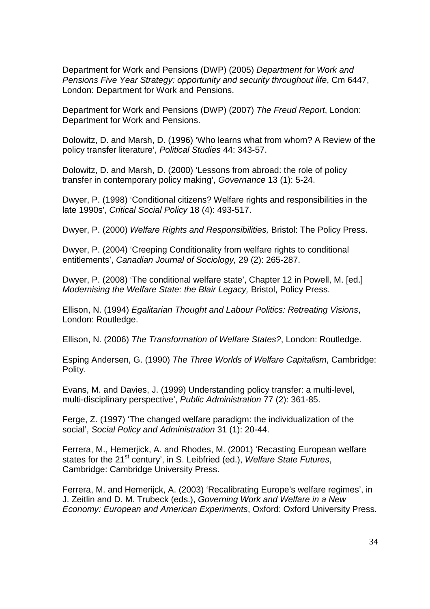Department for Work and Pensions (DWP) (2005) *Department for Work and Pensions Five Year Strategy: opportunity and security throughout life*, Cm 6447, London: Department for Work and Pensions.

Department for Work and Pensions (DWP) (2007) *The Freud Report*, London: Department for Work and Pensions.

Dolowitz, D. and Marsh, D. (1996) 'Who learns what from whom? A Review of the policy transfer literature', *Political Studies* 44: 343-57.

Dolowitz, D. and Marsh, D. (2000) 'Lessons from abroad: the role of policy transfer in contemporary policy making', *Governance* 13 (1): 5-24.

Dwyer, P. (1998) 'Conditional citizens? Welfare rights and responsibilities in the late 1990s', *Critical Social Policy* 18 (4): 493-517.

Dwyer, P. (2000) *Welfare Rights and Responsibilities,* Bristol: The Policy Press.

Dwyer, P. (2004) 'Creeping Conditionality from welfare rights to conditional entitlements', *Canadian Journal of Sociology,* 29 (2): 265-287.

Dwyer, P. (2008) 'The conditional welfare state', Chapter 12 in Powell, M. [ed.] *Modernising the Welfare State: the Blair Legacy,* Bristol, Policy Press.

Ellison, N. (1994) *Egalitarian Thought and Labour Politics: Retreating Visions*, London: Routledge.

Ellison, N. (2006) *The Transformation of Welfare States?*, London: Routledge.

Esping Andersen, G. (1990) *The Three Worlds of Welfare Capitalism*, Cambridge: Polity.

Evans, M. and Davies, J. (1999) Understanding policy transfer: a multi-level, multi-disciplinary perspective', *Public Administration* 77 (2): 361-85.

Ferge, Z. (1997) 'The changed welfare paradigm: the individualization of the social', *Social Policy and Administration* 31 (1): 20-44.

Ferrera, M., Hemerjick, A. and Rhodes, M. (2001) 'Recasting European welfare states for the 21<sup>st</sup> century', in S. Leibfried (ed.), *Welfare State Futures*, Cambridge: Cambridge University Press.

Ferrera, M. and Hemerijck, A. (2003) 'Recalibrating Europe's welfare regimes', in J. Zeitlin and D. M. Trubeck (eds.), *Governing Work and Welfare in a New Economy: European and American Experiments*, Oxford: Oxford University Press.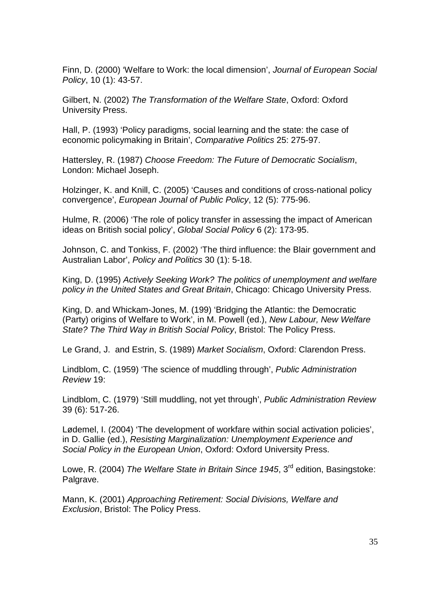Finn, D. (2000) 'Welfare to Work: the local dimension', *Journal of European Social Policy*, 10 (1): 43-57.

Gilbert, N. (2002) *The Transformation of the Welfare State*, Oxford: Oxford University Press.

Hall, P. (1993) 'Policy paradigms, social learning and the state: the case of economic policymaking in Britain', *Comparative Politics* 25: 275-97.

Hattersley, R. (1987) *Choose Freedom: The Future of Democratic Socialism*, London: Michael Joseph.

Holzinger, K. and Knill, C. (2005) 'Causes and conditions of cross-national policy convergence', *European Journal of Public Policy*, 12 (5): 775-96.

Hulme, R. (2006) 'The role of policy transfer in assessing the impact of American ideas on British social policy', *Global Social Policy* 6 (2): 173-95.

Johnson, C. and Tonkiss, F. (2002) 'The third influence: the Blair government and Australian Labor', *Policy and Politics* 30 (1): 5-18.

King, D. (1995) *Actively Seeking Work? The politics of unemployment and welfare policy in the United States and Great Britain*, Chicago: Chicago University Press.

King, D. and Whickam-Jones, M. (199) 'Bridging the Atlantic: the Democratic (Party) origins of Welfare to Work', in M. Powell (ed.), *New Labour, New Welfare State? The Third Way in British Social Policy*, Bristol: The Policy Press.

Le Grand, J. and Estrin, S. (1989) *Market Socialism*, Oxford: Clarendon Press.

Lindblom, C. (1959) 'The science of muddling through', *Public Administration Review* 19:

Lindblom, C. (1979) 'Still muddling, not yet through', *Public Administration Review* 39 (6): 517-26.

Lødemel, I. (2004) 'The development of workfare within social activation policies', in D. Gallie (ed.), *Resisting Marginalization: Unemployment Experience and Social Policy in the European Union*, Oxford: Oxford University Press.

Lowe, R. (2004) *The Welfare State in Britain Since 1945*, 3rd edition, Basingstoke: Palgrave.

Mann, K. (2001) *Approaching Retirement: Social Divisions, Welfare and Exclusion*, Bristol: The Policy Press.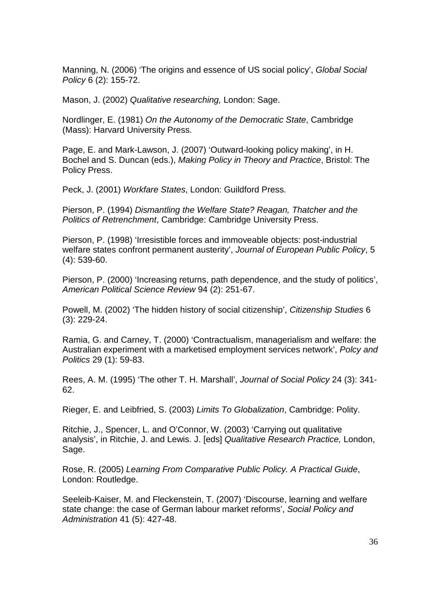Manning, N. (2006) 'The origins and essence of US social policy', *Global Social Policy* 6 (2): 155-72.

Mason, J. (2002) *Qualitative researching,* London: Sage.

Nordlinger, E. (1981) *On the Autonomy of the Democratic State*, Cambridge (Mass): Harvard University Press.

Page, E. and Mark-Lawson, J. (2007) 'Outward-looking policy making', in H. Bochel and S. Duncan (eds.), *Making Policy in Theory and Practice*, Bristol: The Policy Press.

Peck, J. (2001) *Workfare States*, London: Guildford Press.

Pierson, P. (1994) *Dismantling the Welfare State? Reagan, Thatcher and the Politics of Retrenchment*, Cambridge: Cambridge University Press.

Pierson, P. (1998) 'Irresistible forces and immoveable objects: post-industrial welfare states confront permanent austerity', *Journal of European Public Policy*, 5 (4): 539-60.

Pierson, P. (2000) 'Increasing returns, path dependence, and the study of politics', *American Political Science Review* 94 (2): 251-67.

Powell, M. (2002) 'The hidden history of social citizenship', *Citizenship Studies* 6 (3): 229-24.

Ramia, G. and Carney, T. (2000) 'Contractualism, managerialism and welfare: the Australian experiment with a marketised employment services network', *Polcy and Politics* 29 (1): 59-83.

Rees, A. M. (1995) 'The other T. H. Marshall', *Journal of Social Policy* 24 (3): 341- 62.

Rieger, E. and Leibfried, S. (2003) *Limits To Globalization*, Cambridge: Polity.

Ritchie, J., Spencer, L. and O'Connor, W. (2003) 'Carrying out qualitative analysis', in Ritchie, J. and Lewis. J. [eds] *Qualitative Research Practice,* London, Sage.

Rose, R. (2005) *Learning From Comparative Public Policy. A Practical Guide*, London: Routledge.

Seeleib-Kaiser, M. and Fleckenstein, T. (2007) 'Discourse, learning and welfare state change: the case of German labour market reforms', *Social Policy and Administration* 41 (5): 427-48.